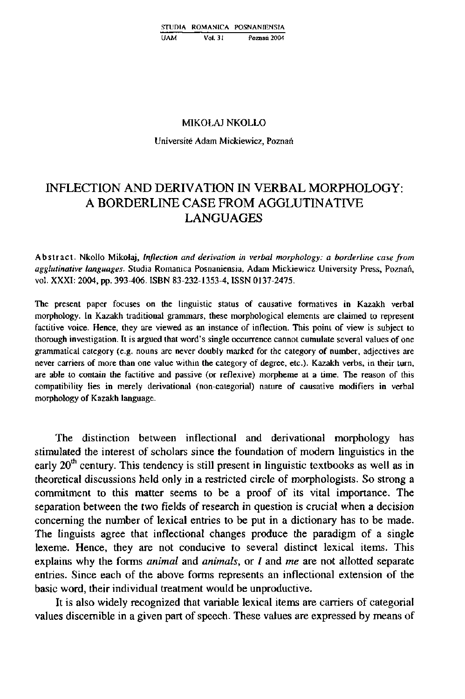## **MIKOŁAJ NKOLLO**

**Universite Adam Mickiewicz, Poznań** 

## **INFLECTION AND DERIYATION IN YERBAL MORPHOLOGY: A BORDERLINE CASE FROM AGGLUTINATIYE LANGUAGES**

**Abstract. Nkollo Mikołaj,** *Inflection and derimtion in verbal morphology: a borderline case from agglutinative languages.* **Studia Romanica Posnaniensia, Adam Mickiewicz University Press, Poznań, voI. XXXI: 2004, pp. 393-406. ISBN 83-232-1353-4, ISSN 0137-2475.** 

The present paper focuses on the linguistic status of causative formatives in Kazakh verbal **morphology. In Kazakh traditional grammars, these morphological elements are claimed to represent factitive voice. Hence, they are viewed as an instance of inflection. This point of view is subject to thorough investigation. It is argued that word's single occurrence cannot cumulate several values of one grammatical category (e.g. nouns are never doubly marked for the category of number, adjectives are never carriers of more than one value within the category of degree, etc). Kazakh verbs, in their turn,**  are able to contain the factitive and passive (or reflexive) morpheme at a time. The reason of this compatibility lies in merely derivational (non-categorial) nature of causative modifiers in verbal **morphology of Kazakh language.** 

**The distinction between inflectional and derivational morphology has**  stimulated the interest of scholars since the foundation of modern linguistics in the early 20<sup>th</sup> century. This tendency is still present in linguistic textbooks as well as in **theoretical discussions held only in a restncted circle of morphologists. So strong a commitment to this matter seems to be a proof of its vital importance. The separation between the two fields of research in ąuestion is crucial when a decision conceraing the number of lexical entries to be put in a dictionary has to be made. The linguists agree that inflectional changes produce the paradigm of a single lexeme. Hence, they are not conducive to several distinct lexical items. This explains why the forms** *animal* **and** *animals,* **or / and** *me* **are not allotted separate entries. Since each of the above forms represents an inflectional extension of the basie word, their individual treatment would be unproductive.** 

**It is also widely recognized that variable lexical items are carriers of categorial values discemible in a given part of speech. These values are expressed by means of**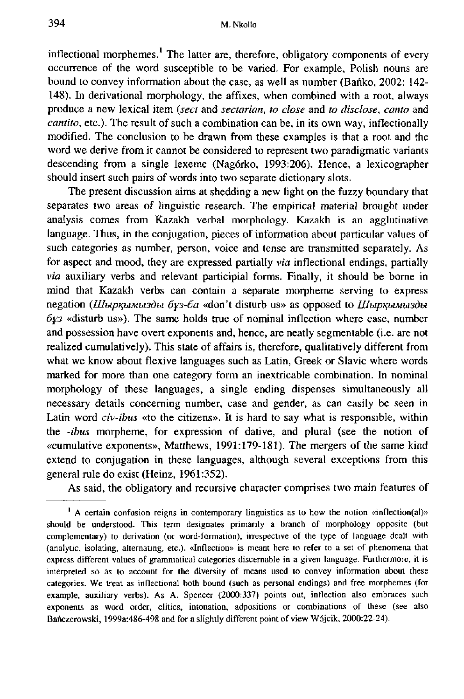inflectional morphemes.<sup>1</sup> The latter are, therefore, obligatory components of every **occurrence of the word susceptible to be varied. For example, Polish nouns are bound to convey Information about the case, as well as number (Bańko, 2002: 142- 148). In derivational morphology, the affixes, when combined with a root, aiways produce a new lexical item** *{sect* **and** *sectarian, to close* **and** *to disdose, canto* **and**  *cantito,* **etc). The result of such a combination can be, in its own way, inflectionally modified. The conclusion to be drawn from these examples is that a root and the word we derive from it cannot be considered to represent two paradigmatic variants descending from a single lexeme (Nagórko, 1993:206). Hence, a lexicographer shouid insert such pairs of words into two separate dictionary slots.** 

**The present discussion aims at shedding a new light on the fuzzy boundary that**  separates two areas of linguistic research. The empirical material brought under **analysis comes from Kazakh verbal morphology. Kazakh is an agglutinative language. Thus, in the conjugation, pieces of Information about particular values of such categories as number, person, voice and tense are transmitted separately. As for aspect and mood, they are expressed partially** *via* **inflectional endings, partially**  *via* **auxiliary verbs and relevant participial forms. Finally, it shouid be borne in mind that Kazakh verbs can contain a separate morpheme serving to express negation** *{Ulbip^biMusdbi óys-óa* **«don't disturb us» as opposed to** *lUbip^biMbudbi 6Y3* **«disturb us»). The same holds true of nominał inflection where case, number and possession have overt exponents and, hence, are neatly segmentable (i.e. are not realized cumulatively). This state of affairs is, therefore, qualitatively different from what we know about flexive languages such as Latin, Greek or Slavic where words marked for more than one category form an inextricable combination. In nominał morphology of these languages, a single ending dispenses simultaneously all necessary details conceming number, case and gender, as can easily be seen in Latin word** *civ-ibus* **«to the citizens». It is hard to say what is responsible, within the** *-ibus* **morpheme, for expression of dative, and plural (see the notion of «cumulative exponents», Matthews, 1991:179-181). The mergers of the same kind extend to conjugation in these languages, although several exceptions from this generał rułe do exist (Heinz, 1961:352).** 

**As said, the obligatory and recursive character comprises two main features of** 

**<sup>&#</sup>x27; A certain confusion reigns in contemporary linguistics as to how the notion «inflection(al)» shouid be understood. This term designates primarily a branch of morphology opposite (but complementary) to derivation (or word-formation), irrespective of the type of language dealt with (analytic, isolating, alternating, etc). «Inflection» is meant here to refer to a set of phenomena that express different values of grammatical categories discernable in a given language. Furthermore, it is interpreted so as to account for the diversity of means used to convey Information about these categories. We treat as inflectional both bound (such as personal endings) and free morphemes (for**  example, auxiliary verbs). As A. Spencer (2000:337) points out, inflection also embraces such **exponents as word order, clitics, intonation, adpositions or combinations of these (see also**  Bańczerowski, 1999a:486-498 and for a slightly different point of view Wójcik, 2000:22-24).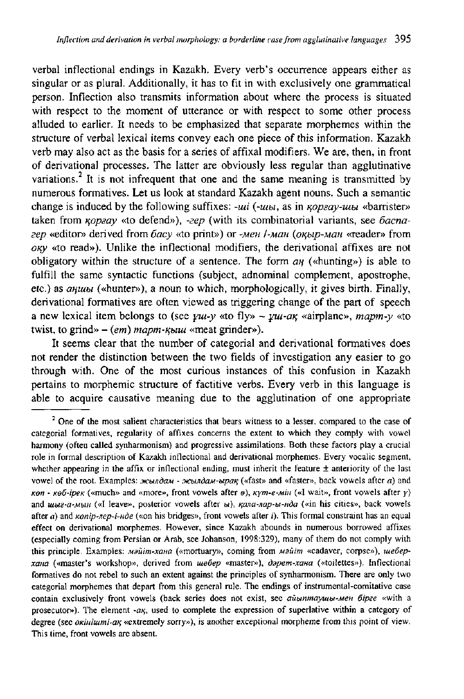**verbal inflectional endings in Kazakh. Every verb's occurrence appears either as singular or as plural. Additionally, it has to fit in with exclusively one grammatical person. Inflection also transmits Information about where the process is situated with respect to the moment of utterance or with respect to some other process alluded to earlier. It needs to be emphasized that separate morphemes within the structure of verbal lexical items convey each one piece of this information. Kazakh verb may also act as the basis for a senes of affixal modifiers. We are, then, in front of derivational processes. The latter are obviously less regular than agglutinative**  variations.<sup>2</sup> It is not infrequent that one and the same meaning is transmitted by **numerous formatives. Let us look at standard Kazakh agent nouns. Such a semantic**  change is induced by the following suffixes: *-ui* (*-u<sub>bl</sub>*, as in *KOpsay-tubi* «barrister» taken from  $\kappa$ *opaay* «to defend»), *-zep* (with its combinatorial variants, see *bacnazep* **«editor» derived from** *óacy* **«to print») or** *-MCH l-MaH {ofChip-MOH* **«reader» from**   $oxy$  «to read»). Unlike the inflectional modifiers, the derivational affixes are not **obligatory** within the structure of a sentence. The form  $a_n$  («hunting») is able to **fulfill the same syntactic functions (subject, adnominal complement, apostrophe,**  etc.) as *anuub* («hunter»), a noun to which, morphologically, it gives birth. Finally, **derivational formatives are often viewed as triggering change of the part of speech a** new lexical item belongs to (see  $\gamma u \rightarrow \gamma u$  «to fly» -  $\gamma u \rightarrow \gamma u$  *ax* «airplane», *mapm-y* «to twist, to grind»  $-$  (em) mapm- $\kappa$ *biul* «meat grinder»).

**It seems elear that the number of categorial and derivational formatives does not render the distinction between the two fields of investigation any easier to go through with. One of the most curious instances of this confusion in Kazakh pertains to morphemic structure of factitive verbs. Every verb in this language is able to acąuire causative meaning due to the agglutination of one appropriate** 

<sup>&</sup>lt;sup>2</sup> One of the most salient characteristics that bears witness to a lesser, compared to the case of **categorial formatives, regularity of affixes concerns the extent to which they comply with vowel harmony (often called synharmonism) and progressive assimilations. Both these factors play a crucial role in formal description of Kazakh inflectional and derivational morphemes. Every vocalic segment, whether appearing in the affix or inflectional ending, must inherit the feature ± anteriority of the last**  vowel of the root. Examples:  $x_{\text{c}b}x_{\text{d}a}$  -  $x_{\text{c}b}x_{\text{d}a}$  when  $x_{\text{d}a}$  and «faster», back vowels after *a*) and  $k \times (k \times k \cdot \text{K})$  («much» and «more», front vowels after  $\theta$ ),  $k \times m \cdot \text{K}$  («I wait», front vowels after *y*) and *um-a-MmH* («I leave», posterior vowels after  $w$ ),  $\kappa$ ana-nap-*bi-Hda* («in his cities», back vowels **after** *a)* **and** *Kenip-nep-i-HÓe* **(«on his bridges», front vowels after /). This formal constraint has an equal effect on derivational morphemes. However, sińce Kazakh abounds in numerous borrowed affixes (especially coming from Persian or Arab, see Johanson, 1998:329), many of them do not comply with**  this principle. Examples: *майіт-хана* («mortuary», coming from *майіт* «cadaver, corpse»), шебер*xaна* («master's workshop», derived from *шебер* «master»), дәрет-хана («toilettes»). Inflectional **formatives do not rebel to such an extent against the principles of synharmonism. There are only two categorial morphemes that depart from this generał rule. The endings of instruraental-comitative case contain exclusively front vowels (back series does not exist, see** *aubinmayuiu-Men 6ipae* **«with a**  prosecutor»). The element -a<sub>K</sub>, used to complete the expression of superlative within a category of degree (see *okinitumi-ak* «extremely sorry»), is another exceptional morpheme from this point of view. **This time, front vowels are absent.**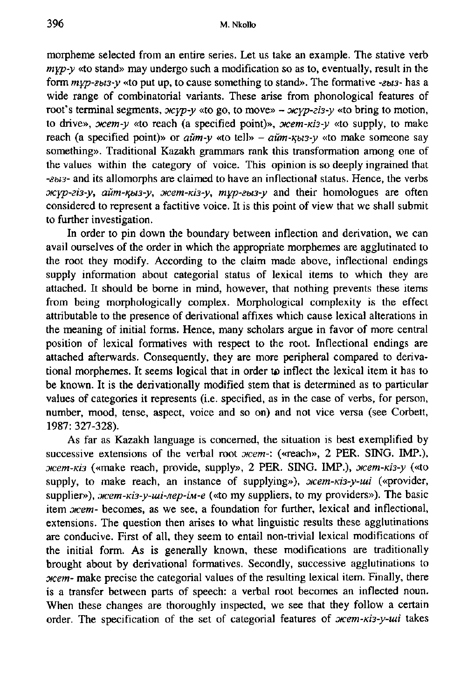**morpheme selected from an entire series. Let us take an example. The stative verb**  *myp-y* **«to stand» may undergo such a modification so as to, eventually, result in the form** *mYp-sbi3-y* **«to put up, to cause something to stand». The formative** *-zus-* **has a**  wide range of combinatorial variants. These arise from phonological features of root's terminal segments,  $x \circ y \circ y$  «to go, to move» –  $x \circ y \circ z \circ y$  «to bring to motion, to drive», *oxem-y* «to reach (a specified point)», *oxem-kis-y* «to supply, to make reach (a specified point)» or  $a\ddot{u}m-v$  «to tell» –  $a\ddot{u}m-xb3-v$  «to make someone say **something». Traditional Kazakh grammars rank this transformation among one of the values within the category of voice. This opinion is so deeply ingrained that**  *-Zbi3-* **and its allomorphs are claimed to have an inflectional status. Hence, the verbs**  *0KYp-zi3-y, awn-icbi3-y, oKem-Kis-y, myp-zba-y* **and their homologues are often considered to represent a factitive voice. It is this point of view that we shall submit to further investigation.** 

**In order to pin down the boundary between inflection and derivation, we can avail ourselves of the order in which the appropriate morphemes are agglutinated to the root they modify. According to the claim made above, inflectional endings supply information about categorial status of lexical items to which they are attached. It shouid be borne in mind, however, that nothing prevents these items from being morphologically complex. Morphological complexity is the effect attributable to the presence of derivational affixes which cause lexical alterations in the meaning of initial forms. Hence, many scholars argue in favor of more central position of lexical formatives with respect to the root. Inflectional endings are attached afterwards. Conseąuently, they are more peripheral compared to derivational morphemes. It seems logical that in order to inflect the lexical item it has to be known. It is the derivationally modified stem that is determined as to particular values of categories it represents (i.e. specified, as in the case of verbs, for person, number, mood, tense, aspect, voice and so on) and not vice versa (see Corbett, 1987: 327-328).** 

**As far as Kazakh language is concemed, the situation is best exemplified by**  successive extensions of the verbal root *oicem*-: («reach», 2 PER. SING. IMP.),  $m$ -*Ki3* («make reach, provide, supply», 2 PER. SING. IMP.),  $m/m - \kappa$ i3-y («to supply, to make reach, an instance of supplying»),  $\mathcal{H}$ *eem-kis-y-ui* («provider, supplier»), *Mem-Kis-y-ui-nep-im-e* («to my suppliers, to my providers»). The basic item *oxem*- becomes, as we see, a foundation for further, lexical and inflectional, extensions. The question then arises to what linguistic results these agglutinations **are conducive. First of all, they seem to entail non-trivial lexical modifications of the initial form. As is generally known, these modifications are traditionaily brought about by derivational formatives. Secondly, successive agglutinations to**  *oicem-* **make precise the categorial values of the resulting lexical item. Finally, there is a transfer between parts of speech: a verbal root becomes an inflected noun. When these changes are thoroughly inspected, we see that they follow a certain**  order. The specification of the set of categorial features of *oxem-ki3-y-ui* takes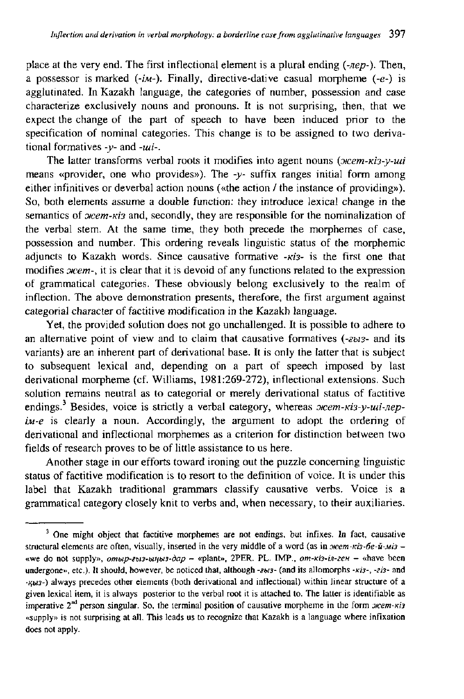**place at the very end. The first inflectional element is a plural ending** *(-Jiep-).* **Then, a possessor is marked** *(-IM-).* **Finally, directive-dative casual morpheme (-e-) is agglutinated. In Kazakh language, the categories of number, possession and case characterize exclusively nouns and pronouns. It is not surprising, then, that we expect the change of the part of speech to have been induced prior to the specification of nominał categories. This change is to be assigned to two derivational formatives** *-y-* **and** *-tui-.* 

The latter transforms verbal roots it modifies into agent nouns (*ocem-ki3-y-uui* **means «provider, one who provides»). The** *-y-* **suffix ranges initial form among either infinitives or deverbal action nouns («the action / the instance of providing»). So, both elements assume a double function: they introduce lexical change in the**  semantics of  $xem-xis$  and, secondly, they are responsible for the nominalization of **the verbal stem. At the same time, they both precede the morphemes of case, possession and number. This ordering reveals Hnguistic status of the morphemic adjuncts to Kazakh words. Since causative formative** -*Ki3*- is the first one that modifies *o*cem-, it is clear that it is devoid of any functions related to the expression **of grammatical categories. These obviously belong exclusively to the realm of inflection. The above demonstration presents, therefore, the first argument against categorial character of factitive modification in the Kazakh language.** 

**Yet, the provided solution does not go unchallenged. It is possible to adhere to an altemative point of view and to claim that causative formatives** *{-2bi3-* **and its variants) are an inherent part of derivational base. It is only the latter that is subject to subseąuent lexical and, depending on a part of speech imposed by last derivational morpheme (cf. Williams, 1981:269-272), inflectional extensions. Such solution remains neutral as to categorial or merely derivational status of factitive**  endings.<sup>3</sup> Besides, voice is strictly a verbal category, whereas *orcem-Kis-y-mi-nepiM-e* **is clearly a noun. Accordingly, the argument to adopt the ordering of derivational and inflectional morphemes as a criterion for distinction between two fields of research proves to be of little assistance to us here.** 

Another stage in our efforts toward ironing out the puzzle concerning linguistic **status of factitive modification is to resort to the definition of voice. It is under this label that Kazakh traditional grammars classify causative verbs. Voice is a grammatical category closely knit to verbs and, when necessary, to their auxiliaries.** 

<sup>&</sup>lt;sup>3</sup> One might object that factitive morphemes are not endings, but infixes. In fact, causative structural elements are often, visually, inserted in the very middle of a word (as in *mem-ki3-6e-u-Mi3 -***«we do not supply»,** *ombip-ebi3-bitibi3-dap -* **«plant», 2PER. PL. IMP.,** *em-m-in-zeH -* **«have been**  undergone», etc.). It should, however, be noticed that, although -zbtz- (and its allomorphs -*kis-*, -ziz- and **-/{613-) aiways precedes other elements (both derivational and inflectional) within linear structure of a given lexical item, it is aiways posterior to the verbal root it is attached to. The latter is identifiable as**  imperative 2<sup>nd</sup> person singular. So, the terminal position of causative morpheme in the form *mem-nis* **«supply» is not surprising at all. This leads us to recognize that Kazakh is a language where infixation does not apply.**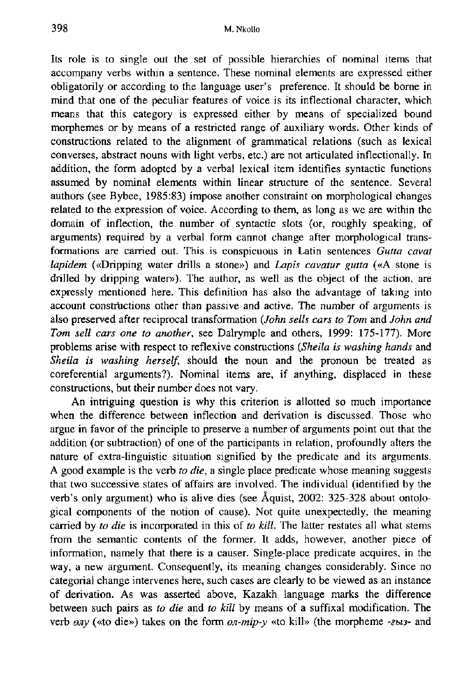**Its role is to single out the set of possible hierarchies of nominał items that accompany verbs within a sentence. These nominał elements are expressed either obligatorily or according to the language user's preference. It shouid be borne in mind that one of the peculiar features of voice is its inflectional character, which means that this category is expressed either by means of specialized bound**  morphemes or by means of a restricted range of auxiliary words. Other kinds of **constructions related to the alignment of grammatical relations (such as lexical converses, abstract nouns with light verbs, etc.) are not articulated inflectionally. In addition, the form adopted by a verbal lexical item identifies syntactic functions**  assumed by nominal elements within linear structure of the sentence. Several **authors (see Bybee, 1985:83) impose another constraint on morphological changes related to the expression of voice. According to them, as łong as we are within the domain of inflection, the number of syntactic slots (or, roughly speaking, of arguments) reąuired by a verbał form cannot change after morphological transformations are carried out. This is conspicuous in Latin sentences** *Gutta cavat lapidem* **(«Dripping water driłłs a stone») and** *Lapis cavatur gutta* **(«A stone is**  drilled by dripping water»). The author, as well as the object of the action, are **expressly mentioned here. This definition has also the advantage of taking into account constructions other than passive and active. The number of arguments is also preserved after reciprocal transformation** *(John sells cars to Tom* **and** *John and Tom sełł cars one to another,* **see Dalrymple and others, 1999: 175-177). More problems arise with respect to refłexive constructions** *(Sheila is washing hands* **and**  *Sheila is washing herself,* **shouid the noun and the pronoun be treated as coreferential arguments?). Nominał items are, if anything, displaced in these constructions, but their number does not vary.** 

**An intriguing ąuestion is why this criterion is allotted so much importance when the difference between inflection and derivation is discussed. Those who argue in favor of the principle to preserve a number of arguments point out that the addition (or subtraction) of one of the participants in relation, profoundly alters the**  nature of extra-linguistic situation signified by the predicate and its arguments. **A good example is the verb** *to die,* **a single place predicate whose meaning suggests that two successive states of affairs are involved. The individual (identified by the verb's only argument) who is alive dies (see Aąuist, 2002: 325-328 about ontological components of the notion of cause). Not ąuite unexpectedly, the meaning carried by** *to die* **is incorporated in this of** *to kill.* **The latter restates all what stems from the semantic contents of the former. It adds, however, another piece of information, namely that there is a causer. Single-place predicate acąuires, in the way, a new argument. Conseąuently, its meaning changes considerably. Since no categorial change intervenes here, such cases are clearly to be viewed as an instance of derivation. As was asserted above, Kazakh language marks the difference between such pairs as** *to die* **and** *to kill* **by means of a suffixal modification. The verb** *eny* («to die») takes on the form *on-mip-y* «to kill» (the morpheme *-sbi3-* and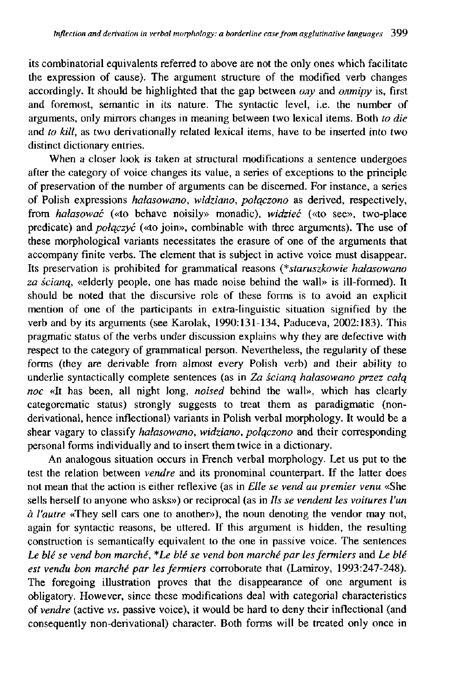**its combinatorial equivalents referred to above are not the only ones which faciłitate the expression of cause). The argument structure of the modified verb changes**  accordingly. It should be highlighted that the gap between *ony* and *onmipy* is, first **and foremost, semantic in its naturę. The syntactic level, i.e. the number of arguments, only mirrors changes in meaning between two lexical items. Both** *to die*  **and** *to kill,* **as two derivationally related lexical items, have to be inserted into two distinct dictionary entries.** 

**When a closer look is taken at structural modifications a sentence undergoes after the category of voice changes its value, a series of exceptions to the principle of preservation of the number of arguments can be discemed. For instance, a series of Polish expressions** *hałasowano, widziano, połączono* **as derived, respectively, from** *hałasować* **(«to behave noisily» monadic),** *widzieć* **(«to see», two-place predicate) and** *połączyć* **(«to join», combinable with three arguments). The use of these morphological variants necessitates the erasure of one of the arguments that accompany finite verbs. The element that is subject in active voice must disappear. Its preservation is prohibited for grammatical reasons** *{\*staruszkowie hałasowano za ścianą,* **«elderly people, one has made noise behind the wall» is ill-formed). It shouid be noted that the discursive role of these forms is to avoid an explicit mention of one of the participants in extra-linguistic situation signified by the verb and by its arguments (see Karolak, 1990:131-134, Paduceva, 2002:183). This pragmatic status of the verbs under discussion explains why they are defective with respect to the category of grammatical person. Nevertheless, the regularity of these forms (they are derivable from almost every Polish verb) and their ability to underlie syntactically complete sentences (as in** *Za ścianą hałasowano przez całą noc* **«It has been, all night long,** *noised* **behind the wall», which has clearly categorematic status) strongly suggests to treat them as paradigmatic (nonderivational, hence inflectional) variants in Polish verbal morphology. It would be a shear vagary to classify** *hałasowano, widziano, połączono* **and their corresponding personal forms individually and to insert them twice in a dictionary.** 

**An analogous situation occurs in French verbal morphology. Let us put to the test the relation between** *vendre* **and its pronominal counterpart. If the latter does not mean that the action is either reflexive (as in** *Elle se vend au premier venu* **«She sells herself to anyone who asks») or reciprocal (as in** *Us se vendent les voitures l'un*   $\dot{a}$  *l'autre* «They sell cars one to another»), the noun denoting the vendor may not, **again for syntactic reasons, be uttered. If this argument is hidden, the resulting construction is semantically equivalent to the one in passive voice. The sentences**  *Le ble se vend bon marche, \*Le ble se vend bon marche par les fermiers* **and** *Le ble est vendu bon marche par les fermiers* **corroborate that (Lamiroy, 1993:247-248). The foregoing illustration proves that the disappearance of one argument is obligatory. However, sińce these modifications deal with categorial characteristics of** *vendre* **(active** *vs.* **passive voice), it would be hard to deny their inflectional (and conseąuently non-derivational) character. Both forms will be treated only once in**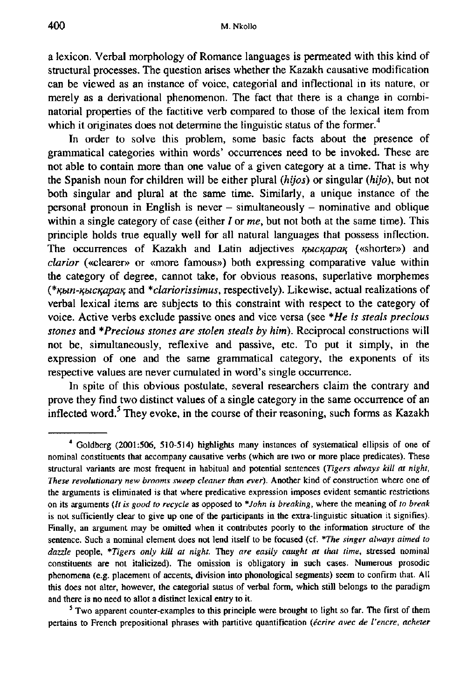**a lexicon. Yerbal morphology of Romance languages is permeated with this kind of structural processes. The ąuestion arises whether the Kazakh causative modification can be viewed as an instance of voice, categorial and inflectional in its naturę, or merely as a derivational phenomenon. The fact that there is a change in combinatorial properties of the factitive verb compared to those of the lexical item from**  which it originates does not determine the linguistic status of the former.<sup>4</sup>

**In order to solve this problem, some basie facts about the presence of grammatical categories within words' occurrences need to be invoked. These are not able to contain more than one value of a given category at a time. That is why the Spanish noun for children will be either plural** *(hijos)* **or singular** *(hijo),* **but not both singular and plural at the same time. Similarly, a uniąue instance of the personal pronoun in English is never - simultaneously - nominative and obliąue within a single category of case (either / or** *me,* **but not both at the same time). This principle holds true eąually well for all natural languages that possess inflection. The occurrences of Kazakh and Latin adjectives** *K^icK^paK,* **(«shorter») and**  *clarior* **(«clearer» or «more famous») both expressing comparative value within the category of degree, cannot take, for obvious reasons, superlative morphemes**  *{\*iC}m-ig}icicapaKi* **and** *\*clariorissimus,* **respectively). Likewise, actual realizations of yerbal lexical items are subjects to this constraint with respect to the category of Yoice. Active verbs exclude passive ones and vice versa (see** *\*He is steals precious*  stones and \*Precious stones are stolen steals by him). Reciprocal constructions will **not be, simultaneously, reflexive and passive, etc. To put it simply, in the expression of one and the same grammatical category, the exponents of its respective values are never cumulated in word's single occurrence.** 

**In spite of this obvious postulate, several researchers claim the contrary and prove they find two distinct values of a single category in the same occurrence of an inflected word.^ They evoke, in the course of their reasoning, such forms as Kazakh** 

**<sup>•\*</sup> Goldberg (2001:506, 510-514) highlights many instances of systematical ellipsis of one of nominał constituents that accompany causative verbs (which are two or more place predicates). These structural variants are most freąuent in habitual and potential sentences** *(Tigers aiways kill at night, These revolutionary new brooms sweep cleaner than ever).* **Another kind of construction where one of the arguments is eliminated is that where predicative expression imposes evident semantic restrictions on its arguments** *(It is good to recycle* **as opposed to** *\*John is breaking,* **where the meaning of** *to break*  **is not sufficiently elear to give up one of the participants in the extra-linguistic situation it signifies). Finally, an argument may be omitted when it contributes poorly to the information structure of the sentence. Such a nominał element does not lend itself to be focused (cf.** *\*The singer aiways aimed to dazzle* **people,** *\*Tigers only kill at night.* **They** *are easily caught at that time,* **stressed nominał constituents are not italicized). The omission is obligatory in such cases. Numerous prosodic phenomena (e.g. płacement of accents, division into phonological segments) seem to confirm that. All this does not alter, however, the categorial status of verbał form, which still belongs to the paradigm and there is no need to ałłot a distinct lexicał entry to it.** 

**<sup>&#</sup>x27; Two apparent counter-examples to this principle were brought to light so far. The first of them pertains to French prepositional phrases with partitive quantification** *(ecrire avec de l'encre, acheter*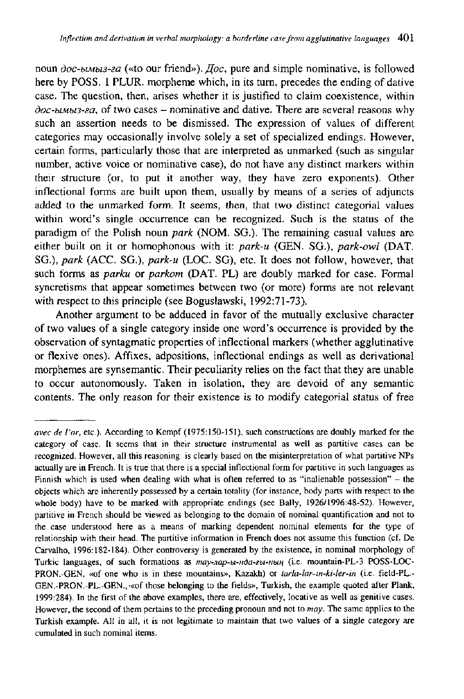noun *doc-biMbi3-2a* («to our friend»). *Joc*, pure and simple nominative, is followed **here by POSS. 1 PLUR. morpheme which, in its tum, precedes the ending of dative case. The ąuestion, then, arises whether it is justified to claim coexistence, within**  *doc-biMbi3-za,* **of two cases - nominative and dative. There are several reasons why such an assertion needs to be dismissed. The expression of values of different categories may occasionally involve solely a set of specialized endings. However, certain forms, particularly those that are interpreted as unmarked (such as singular number, active voice or nominative case), do not have any distinct markers within their stmcture (or, to put it another way, they have zero exponents). Other inflectional forms are built upon them, usually by means of a series of adjuncts added to the unmarked form. It seems, then, that two distinct categorial values within word's single occurrence can be recognized. Such is the status of the paradigm of the Polish noun** *park* **(NOM. SG.). The remaining casual values are either built on it or homophonous with it:** *park-u* **(GEN. SG.),** *park-owi* **(DAT. SG.),** *park* **(ACC. SG.),** *park-u* **(LOC. SG), etc. It does not follow, however, that such forms as** *parku* **or** *parkom* **(DAT. PL) are doubly marked for case. Formal syncretisms that appear sometimes between two (or more) forms are not relevant with respect to this principle (see Bogusławski, 1992:71-73).** 

**Another argument to be adduced in favor of the mutuałły exclusive character of two values of a single category inside one word's occurrence is provided by the observation of syntagmatic properties of inflectional markers (whether agglutinative or flexive ones). Affixes, adpositions, inflectional endings as well as derivational morphemes are synsemantic. Their pecuharity relies on the fact that they are unable to occur autonomously. Taken in isolation, they are devoid of any semantic contents. The only reason for their existence is to modify categorial status of free** 

*avec de for,* **etc). According to Kempf (1975:150-151), such constructions are doubly inarked for the category of case. It seems that in their structure instrumental as well as partitive cases can be recognized. However, all this reasoning is clearly based on the misinterpretation of what partitive NPs actually are in French. It is true that there is a special inflectional form for partitive in such languages as Finnish which is used when dealing with what is often referred to as "inalienable possession" - the objects which are inherently possessed by a certain totality (for instance, body parts with respect to the whole body) have to be marked with appropriate endings (see Bally, 1926/1996:48-52). However, partitive in French shouid be viewed as belonging to the domain of nominał ąuantification and not to the case understood here as a means of marking dependent nominał elements for the type of relationship with their head. The partitive information in French does not assume this function (cf. De Carvałho, 1996:182-184). Other controversy is generated by the existence, in nominał morphology of**  Turkic languages, of such formations as  $may$ -nap-bi-nda-ebi-nbin<sub>1</sub> (i.e. mountain-PL-3 POSS-LOC-**PRON.-GEN, «of one who is in these mountains», Kazakh) or** *tarla-lar-in-ki-ler-in* **(i.e. field-PL.- GEN.-PRON.-PL.-GEN., aof those belonging to the fields», Turkish, the example quoted after Plank, 1999:284). In the first of the above examples, there are, effectively, locative as well as genitive cases. However, the second of them pertains to the preceding pronoun and not to** *may.* **The same applies to the Turkish example. All in all, it is not legitimate to maintain that two values of a single category are cumulated in such nominał items.**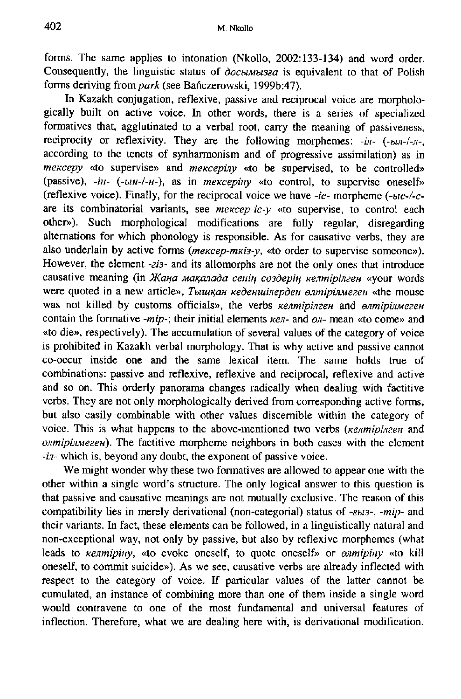forms. The same applies to intonation (Nkollo, 2002:133-134) and word order. **Conseąuently, the hnguistic status of** *docbmusza* **is eąuivalent to that of Polish forms deriving from** *park* **(see Bańczerowski, 1999b:47).** 

**In Kazakh conjugation, reflexive, passive and reciprocal voice are morphologically built on active voice. In other words, there is a series of specialized formatives that, agglutinated to a verbal root, carry the meaning of passiveness, reciprocity or reflexivity. They are the following morphemes:** *-in- {-bin-l-ji-,*  **according to the tenets of synharmonism and of progressive assimilation) as in**  *mekcepy* «to supervise» and *mekcepiny* «to be supervised, to be controlled» (passive),  $-iH - (-UH - I - H -)$ , as in *mekcepiny* «to control, to supervise oneself» **(reflexive voice). Finally, for the reciprocal voice we have** *-ic-* **morpheme** *{-bic-/-c*are its combinatorial variants, see *mekcep-ic-y* «to supervise, to control each **other»). Such morphological modifications are fully regular, disregarding altemations for which phonology is responsible. As for causative verbs, they are**  also underlain by active forms *(mekcep-mkis-y,* «to order to supervise someone»). **However, the element** *-zis-* **and its allomorphs are not the only ones that introduce**  causative meaning (in *Жана мақалада сенің сөздерің келтірілген* «your words were quoted in a new article», *Тышқан кеденшілерден өлтірілмеген* «the mouse was not killed by customs officials», the verbs *kenmipinzen* and *enmipijumezen* contain the formative *-mip-*; their initial elements *ken*- and  $\theta$ *n*- mean «to come» and **«to die», respectively). The accumulation of several values of the category of voice is prohibited in Kazakh verbal morphology. That is why active and passive cannot co-occur inside one and the same lexical item. The same holds true of combinations: passive and reflexive, reflexive and reciprocal, reflexive and active and so on. This orderly panorama changes radically when dealing with factitive verbs. They are not only morphologically derived from corresponding active forms, but also easily combinable with other values discemible within the category of**  voice. This is what happens to the above-mentioned two verbs *(Kenmipinzen* and  $e^{amipi\omega}$ *ezen*). The factitive morpheme neighbors in both cases with the element *-in-* **which is, beyond any doubt, the exponent of passive voice.** 

**We might wonder why these two formatives are allowed to appear one with the other within a single word's stmcture. The only logical answer to this ąuestion is that passive and causative meanings are not mutually exclusive. The reason of this compatibility lies in merely derivational (non-categorial) status of** *-zbi3-, -mip-* **and their variants. In fact, these elements can be followed, in a linguistically natural and non-exceptional way, not only by passive, but also by reflexive morphemes (what leads to** *Kenmipiny,* **«to evoke oneself, to ąuote oneself» or** *enmipiny* **«to kill oneself, to commit suicide»). As we see, causative verbs are already inflected with respect to the category of voice. If particular values of the latter cannot be cumulated, an instance of combining more than one of them inside a single word would contravene to one of the most fundamental and universal features of inflection. Therefore, what we are dealing here with, is derivational modification.**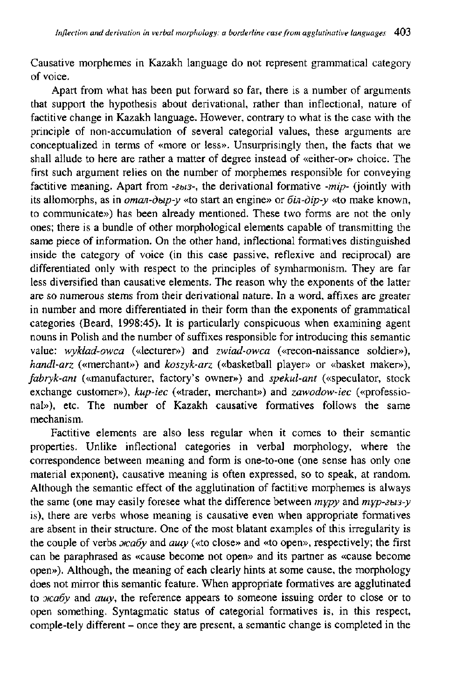**Causative morphemes in Kazakh language do not represent grammatical category of voice.** 

**Apart from what has been put forward so far, there is a number of arguments**  that support the hypothesis about derivational, rather than inflectional, nature of **factitive change in Kazakh language. However, contrary to what is the case with the principle of non-accumulation of several categorial values, these arguments are conceptualized in terms of «more or less». Unsurprisingly then, the facts that we shall allude to here are rather a matter of degree instead of «either-or» choice. The first such argument relies on the number of morphemes responsible for conveying factitive meaning. Apart from** *-sus-,* **the derivational formative** *-mip-* **(jointly with**  its allomorphs, as in *oman-dbip-y* «to start an engine» or  $\vec{b}$ *in-dip-y* «to make known, **to communicate») has been already mentioned. These two forms are not the only ones; there is a bundle of other morphological elements capable of transmitting the same piece of information. On the other hand, inflectional formatives distinguished inside the category of voice (in this case passive, reflexive and reciprocal) are differentiated only with respect to the principles of symharmonism. They are far less diversified than causative elements. The reason why the exponents of the latter are so numerous stems from their derivational naturę. In a word, affixes are greater in number and more differentiated in their form than the exponents of grammatical categories (Beard, 1998:45). It is particularly conspicuous when examining agent nouns in Polish and the number of suffixes responsible for introducing this semantic**  value: wykład-owca («lecturer») and *zwiad-owca* («recon-naissance soldier»), *handl-arz* **(«merchant») and** *koszyk-arz* **(«basketball player» or «basket maker»),**  *fabryk-ant* **(«manufacturer, factory's owner») and** *spekul-ant* **(«speculator, stock exchange customer»),** *kup-iec* **(«trader, merchant») and** *zawodow-iec* **(«professional»), etc. The number of Kazakh causative formatives follows the same mechanism.** 

**Factitive elements are also less regular when it comes to their semantic properties. Unlike inflectional categories in verbal morphology, where the correspondence between meaning and form is one-to-one (one sense has only one materiał exponent), causative meaning is often expressed, so to speak, at random. Although the semantic effect of the agglutination of factitive morphemes is aiways the same (one may easily foresee what the difference between** *mypy* **and** *myp-zbis-y*  **is), there are verbs whose meaning is causative even when appropriate formatives are absent in their structure. One of the most blatant examples of this irregularity is**  the couple of verbs  $xca6y$  and  $auy$  («to close» and «to open», respectively; the first **can be paraphrased as «cause become not open» and its partner as «cause become open»). Although, the meaning of each clearly hints at some cause, the morphology does not mirror this semantic feature. When appropriate formatives are agglutinated**  to *xcaby* and *auy*, the reference appears to someone issuing order to close or to **open something. Syntagmatic status of categorial formatives is, in this respect,**  comple-tely different – once they are present, a semantic change is completed in the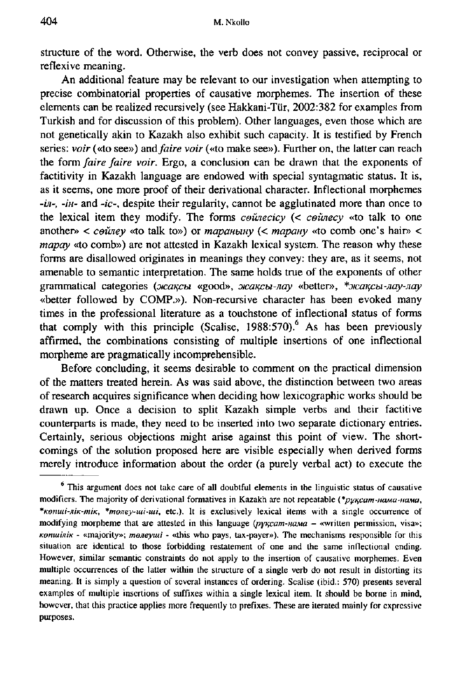**Structure of the word. Otherwise, the verb does not convey passive, reciprocal or reflexive meaning.** 

**An additional feature may be relevant to our investigation when attempting to precise combinatorial properties of causative morphemes. The insertion of these elements can be realized recursively (see Hakkani-Tiir, 2002:382 for examples from Turkish and for discussion of this problem). Other languages, even those which are not genetically akin to Kazakh also exhibit such capacity. It is testified by French series:** *voir* **(«to see») and** *faire voir* **(«to make see»). Further on, the latter can reach the form** *faire faire voir.* **Ergo, a conclusion can be drawn that the exponents of factitivity in Kazakh language are endowed with special syntagmatic status. It is, as it seems, one more proof of their derivational character. Inflectional morphemes**  *-in-, -iH-* **and** *-ic-,* **despite their regularity, cannot be agglutinated more than once to the lexical item they modify. The forms** *ceunecicy (< ceiuiecy* **«to talk to one**  another»  $\lt$  *ceiney* «to talk to») or *mapanumy* ( $\lt$  *mapany* «to comb one's hair»  $\lt$ *mapay* **«to comb») are not attested in Kazakh lexical system. The reason why these forms are disallowed originates in meanings they convey: they are, as it seems, not amenable to semantic interpretation. The same holds true of the exponents of other**  grammatical categories ( $\pi$ *akcu* «good»,  $\pi$ *akcu-nay* «better», \* $\pi$ *kakcu-nay-nay* **«better followed by COMP.»). Non-recursive character has been evoked many**  times in the professional literature as a touchstone of inflectional status of forms that comply with this principle (Scalise,  $1988:570$ ).<sup>6</sup> As has been previously **affirmed, the combinations consisting of multiple insertions of one inflectional morpheme are pragmatically incomprehensible.** 

**Before concluding, it seems desirable to comment on the practical dimension of the matters treated herein. As was said above, the distinction between two areas of research acąuires significance when deciding how lexicographic works shouid be drawn up. Once a decision to split Kazakh simple verbs and their factitive counterparts is made, they need to be inserted into two separate dictionary entries. Certainly, serious objections might arise against this point of view. The shortcomings of the solution proposed here are visible especially when derived forms merely introduce information about the order (a purely verbal act) to execute the** 

<sup>&</sup>lt;sup>6</sup> This argument does not take care of all doubtful elements in the linguistic status of causative modifiers. The majority of derivational formatives in Kazakh are not repeatable (\*py<sub>Kcam-HaMa-HaMa,</sub> *\*Kemui-MK-miK, \*mejiey-uii-mi,* **etc). It is exclusively lexical items with a single occurrence of**  modifying morpheme that are attested in this language (pyxcam-HaMa - «written permission, visa»; *KeniuiniK -* **«majority»;** *meneymi -* **«this who pays, tax-payer»). The mechanisms responsible for this situation are identical to those forbidding restatement of one and the same inflectional ending. However, similar semantic constraints do not apply to the insertion of causative morphemes. Even multiple occurrences of the latter within the structure of a single verb do not result in distorting its meaning. It is simply a ąuestion of several instances of ordering. Scalise (ibid.: 570) presents several examples of multiple insertions of suffixes within a single Iexical item. It shouid be borne in mind, however, that this practice applies more frequently to prefixes. These are iterated mainly for expressive purposes.**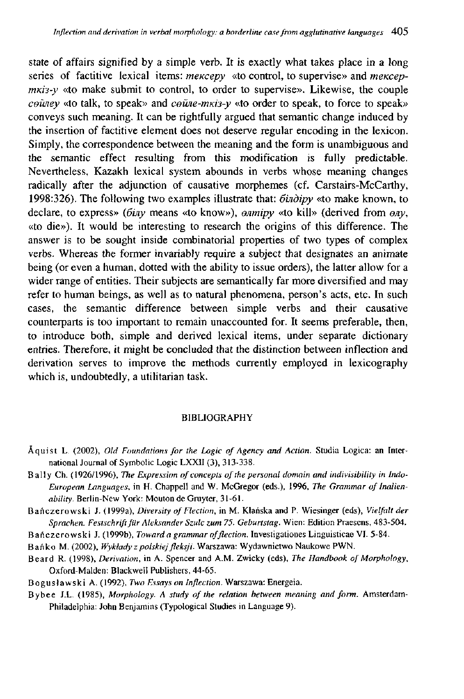**State of affairs signified by a simple verb. It is exactły what takes place in a long**  series of factitive lexical items: *mekcepy* «to control, to supervise» and *mekcepmki3-y* «to make submit to control, to order to supervise». Likewise, the couple *ceiney* «to talk, to speak» and *ceune-mkis-y* «to order to speak, to force to speak» **conveys such meaning. It can be rightfuUy argued that semantic change induced by the insertion of factitive element does not deserve regular encoding in the lexicon. Simply, the correspondence between the meaning and the form is unambiguous and the semantic effect resulting from this modification is fully predictable. Nevertheless, Kazakh lexical system abounds in verbs whose meaning changes radically after the adjunction of causative morphemes (cf. Carstairs-McCarthy, 1998:326). The following two examples illustrate that:** *óuidipy* **«to make known, to declare, to express»** *{6ijiy* **means «to know»),** *enmipy* **«to kill» (derived from** *eny,*  **«to die»). It would be interesting to research the origins of this difference. The answer is to be sought inside combinatorial properties of two types of complex verbs. Whereas the former invariably require a subject that designates an animate being (or even a human, dotted with the ability to issue orders), the latter allow for a**  wider range of entities. Their subjects are semantically far more diversified and may **refer to human beings, as well as to natural phenomena, person's acts, etc. In such cases, the semantic difference between simple verbs and their causative counterparts is too important to remain unaccounted for. It seems preferable, then, to introduce both, simple and derived lexical items, under separate dictionary entries. Therefore, it might be concluded that the distinction between inflection and derivation serves to improve the methods currently employed in lexicography which is, undoubtedly, a utihtarian task.** 

## **BIBLIOGRAPHY**

- **Aąuist L. (2002),** *Old Foundations for the Logic of Agency and Action.* **Studia Logica: an Inter**national Journal of Symbolic Logic LXXII (3), 313-338.
- **Ball y Ch. (1926/1996),** *The Expression of concepts of the personal domain and indivisibility in Indo-European Languages,* **in H. Chappell and W. McGregor (eds.), 1996,** *The Grammar of Inalienability.* **Berlin-New York: Mouton de Gruyter, 31-61.**
- **Bańczerowsk i J. (1999a),** *Diversity of Flection,* **in M. Kłańska and P. Wiesinger (eds),** *Yielfalt der Sprachen. Festschrift fur Aleksander Szulc zum 75. Geburtstag.* **Wien: Edition Praesens, 483-504.**
- Bańczerowski J. (1999b), Toward a grammar of flection. Investigationes Linguisticae VI. 5-84.
- **Bańk o M. (2002),** *Wykłady z polskiej fleksji.* **Warszawa: Wydawnictwo Naukowe PWN.**
- **Beard R. (1998),** *Derivation,* **in A. Spencer and A.M. Zwicky (eds),** *The Handbook of Morphology,*  **Oxford-Malden: Blackwell Publishers, 44-65.**
- **Bogusławsk i A. (1992),** *Two Es.iays on Inflection.* **Warszawa: Energeia.**
- **Bybe e J.L. (1985),** *Morphology. A study of the relation between meaning and form.* **Amsterdam-Philadelphia: John Benjamins (Typological Studies in Language 9).**